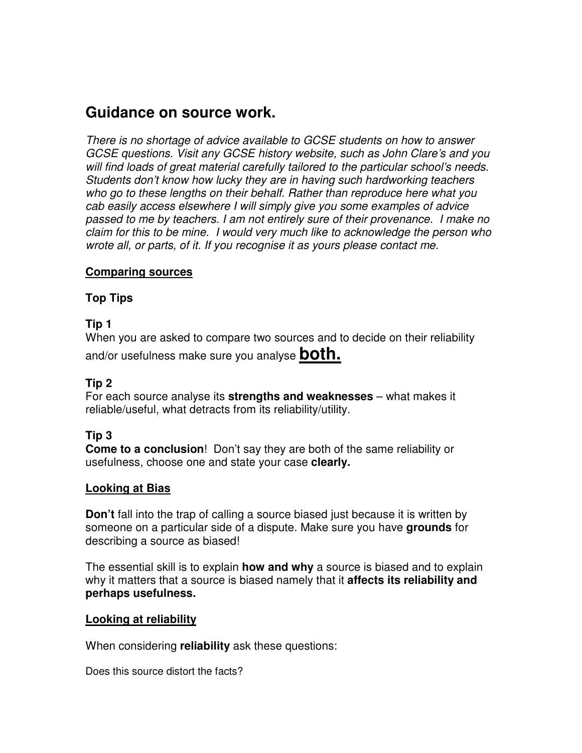

# **Guidance on source work.**

There is no shortage of advice available to GCSE students on how to answer GCSE questions. Visit any GCSE history website, such as John Clare's and you will find loads of great material carefully tailored to the particular school's needs. Students don't know how lucky they are in having such hardworking teachers who go to these lengths on their behalf. Rather than reproduce here what you cab easily access elsewhere I will simply give you some examples of advice passed to me by teachers. I am not entirely sure of their provenance. I make no claim for this to be mine. I would very much like to acknowledge the person who wrote all, or parts, of it. If you recognise it as yours please contact me.

### **Comparing sources**

## **Top Tips**

# **Tip 1**

When you are asked to compare two sources and to decide on their reliability and/or usefulness make sure you analyse **both.**

# **Tip 2**

For each source analyse its **strengths and weaknesses** – what makes it reliable/useful, what detracts from its reliability/utility.

# **Tip 3**

**Come to a conclusion**! Don't say they are both of the same reliability or usefulness, choose one and state your case **clearly.**

## **Looking at Bias**

**Don't** fall into the trap of calling a source biased just because it is written by someone on a particular side of a dispute. Make sure you have **grounds** for describing a source as biased!

The essential skill is to explain **how and why** a source is biased and to explain why it matters that a source is biased namely that it **affects its reliability and perhaps usefulness.**

## **Looking at reliability**

When considering **reliability** ask these questions:

Does this source distort the facts?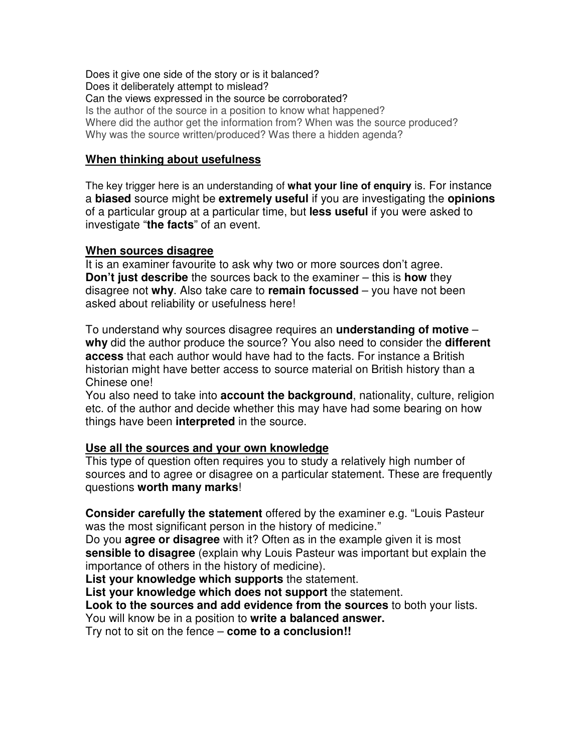Does it give one side of the story or is it balanced? Does it deliberately attempt to mislead? Can the views expressed in the source be corroborated? Is the author of the source in a position to know what happened? Where did the author get the information from? When was the source produced? Why was the source written/produced? Was there a hidden agenda?

#### **When thinking about usefulness**

The key trigger here is an understanding of **what your line of enquiry** is. For instance a **biased** source might be **extremely useful** if you are investigating the **opinions** of a particular group at a particular time, but **less useful** if you were asked to investigate "**the facts**" of an event.

#### **When sources disagree**

It is an examiner favourite to ask why two or more sources don't agree. **Don't just describe** the sources back to the examiner – this is **how** they disagree not **why**. Also take care to **remain focussed** – you have not been asked about reliability or usefulness here!

To understand why sources disagree requires an **understanding of motive** – **why** did the author produce the source? You also need to consider the **different access** that each author would have had to the facts. For instance a British historian might have better access to source material on British history than a Chinese one!

You also need to take into **account the background**, nationality, culture, religion etc. of the author and decide whether this may have had some bearing on how things have been **interpreted** in the source.

#### **Use all the sources and your own knowledge**

This type of question often requires you to study a relatively high number of sources and to agree or disagree on a particular statement. These are frequently questions **worth many marks**!

**Consider carefully the statement** offered by the examiner e.g. "Louis Pasteur was the most significant person in the history of medicine."

Do you **agree or disagree** with it? Often as in the example given it is most **sensible to disagree** (explain why Louis Pasteur was important but explain the importance of others in the history of medicine).

**List your knowledge which supports** the statement.

**List your knowledge which does not support** the statement.

**Look to the sources and add evidence from the sources** to both your lists. You will know be in a position to **write a balanced answer.**

Try not to sit on the fence – **come to a conclusion!!**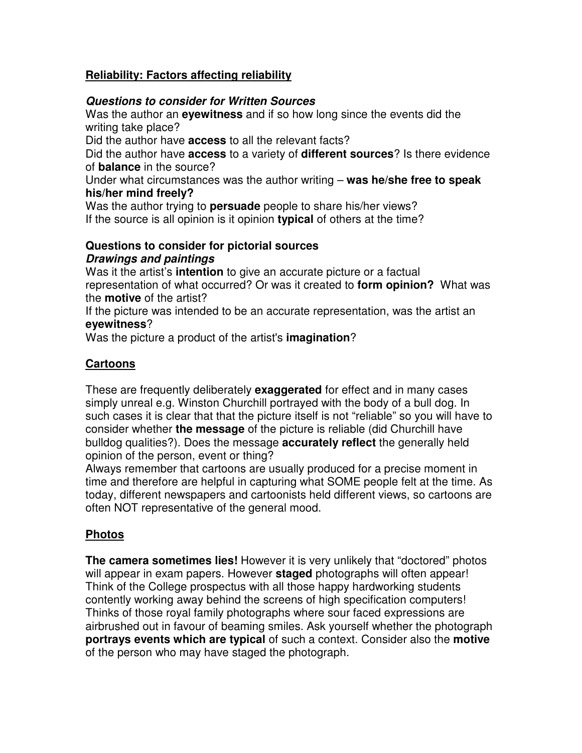# **Reliability: Factors affecting reliability**

### **Questions to consider for Written Sources**

Was the author an **eyewitness** and if so how long since the events did the writing take place?

Did the author have **access** to all the relevant facts?

Did the author have **access** to a variety of **different sources**? Is there evidence of **balance** in the source?

Under what circumstances was the author writing – **was he/she free to speak his/her mind freely?**

Was the author trying to **persuade** people to share his/her views? If the source is all opinion is it opinion **typical** of others at the time?

### **Questions to consider for pictorial sources Drawings and paintings**

Was it the artist's **intention** to give an accurate picture or a factual representation of what occurred? Or was it created to **form opinion?** What was the **motive** of the artist?

If the picture was intended to be an accurate representation, was the artist an **eyewitness**?

Was the picture a product of the artist's **imagination**?

# **Cartoons**

These are frequently deliberately **exaggerated** for effect and in many cases simply unreal e.g. Winston Churchill portrayed with the body of a bull dog. In such cases it is clear that that the picture itself is not "reliable" so you will have to consider whether **the message** of the picture is reliable (did Churchill have bulldog qualities?). Does the message **accurately reflect** the generally held opinion of the person, event or thing?

Always remember that cartoons are usually produced for a precise moment in time and therefore are helpful in capturing what SOME people felt at the time. As today, different newspapers and cartoonists held different views, so cartoons are often NOT representative of the general mood.

# **Photos**

**The camera sometimes lies!** However it is very unlikely that "doctored" photos will appear in exam papers. However **staged** photographs will often appear! Think of the College prospectus with all those happy hardworking students contently working away behind the screens of high specification computers! Thinks of those royal family photographs where sour faced expressions are airbrushed out in favour of beaming smiles. Ask yourself whether the photograph **portrays events which are typical** of such a context. Consider also the **motive** of the person who may have staged the photograph.